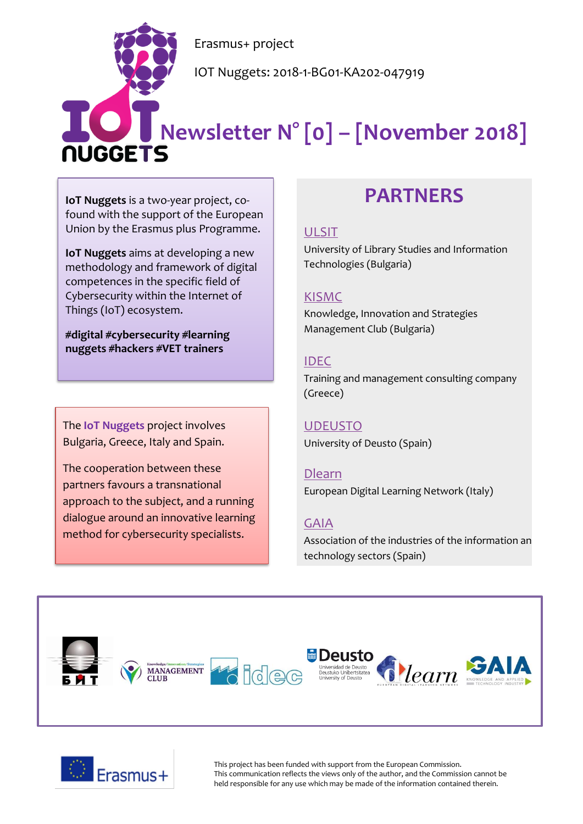Erasmus+ project

IOT Nuggets: 2018-1-BG01-KA202-047919

# **Newsletter N° [0] – [November 2018]**

**IoT Nuggets** is a two-year project, cofound with the support of the European Union by the Erasmus plus Programme.

**IoT Nuggets** aims at developing a new methodology and framework of digital competences in the specific field of Cybersecurity within the Internet of Things (IoT) ecosystem.

**#digital #cybersecurity #learning nuggets #hackers #VET trainers**

The **IoT Nuggets** project involves Bulgaria, Greece, Italy and Spain.

The cooperation between these partners favours a transnational approach to the subject, and a running dialogue around an innovative learning method for cybersecurity specialists.

## **PARTNERS**

#### [ULSIT](https://www.unibit.bg/en)

University of Library Studies and Information Technologies (Bulgaria)

#### [KISMC](http://www.innovation-mc.com/)

Knowledge, Innovation and Strategies Management Club (Bulgaria)

#### [IDEC](https://www.idec.gr/)

Training and management consulting company (Greece)

#### [UDEUSTO](https://www.deusto.es/cs/Satellite/deusto/en/university-deusto)

University of Deusto (Spain)

#### [Dlearn](http://dlearn.eu/)

European Digital Learning Network (Italy)

#### [GAIA](http://www.gaia.es/)

Association of the industries of the information an technology sectors (Spain)





This project has been funded with support from the European Commission. This communication reflects the views only of the author, and the Commission cannot be held responsible for any use which may be made of the information contained therein.